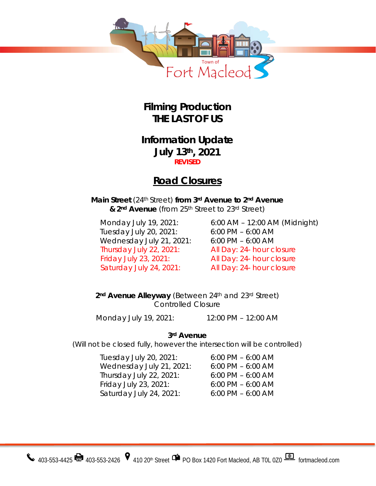

**Filming Production THE LAST OF US**

### **Information Update July 13th, 2021 REVISED**

# **Road Closures**

**Main Street** (24th Street) **from 3rd Avenue to 2nd Avenue & 2nd Avenue** (from 25th Street to 23rd Street)

Tuesday July 20, 2021: 6:00 PM – 6:00 AM Wednesday July 21, 2021: 6:00 PM – 6:00 AM Thursday July 22, 2021: All Day: 24- hour closure Friday July 23, 2021: All Day: 24- hour closure

Monday July 19, 2021: 6:00 AM – 12:00 AM (Midnight) Saturday July 24, 2021: All Day: 24- hour closure

**2nd Avenue Alleyway** (Between 24th and 23rd Street) Controlled Closure

Monday July 19, 2021: 12:00 PM – 12:00 AM

**3rd Avenue** 

(Will not be closed fully, however the intersection will be controlled)

| Tuesday July 20, 2021:   | $6:00$ PM $-6:00$ AM |
|--------------------------|----------------------|
| Wednesday July 21, 2021: | $6:00$ PM $-6:00$ AM |
| Thursday July 22, 2021:  | $6:00$ PM $-6:00$ AM |
| Friday July 23, 2021:    | $6:00$ PM $-6:00$ AM |
| Saturday July 24, 2021:  | $6:00$ PM $-6:00$ AM |